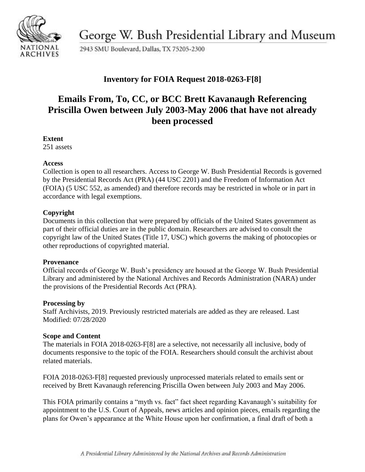

George W. Bush Presidential Library and Museum

2943 SMU Boulevard, Dallas, TX 75205-2300

# **Inventory for FOIA Request 2018-0263-F[8]**

# **Emails From, To, CC, or BCC Brett Kavanaugh Referencing Priscilla Owen between July 2003-May 2006 that have not already been processed**

#### **Extent**

251 assets

#### **Access**

Collection is open to all researchers. Access to George W. Bush Presidential Records is governed by the Presidential Records Act (PRA) (44 USC 2201) and the Freedom of Information Act (FOIA) (5 USC 552, as amended) and therefore records may be restricted in whole or in part in accordance with legal exemptions.

### **Copyright**

Documents in this collection that were prepared by officials of the United States government as part of their official duties are in the public domain. Researchers are advised to consult the copyright law of the United States (Title 17, USC) which governs the making of photocopies or other reproductions of copyrighted material.

#### **Provenance**

 Official records of George W. Bush's presidency are housed at the George W. Bush Presidential Library and administered by the National Archives and Records Administration (NARA) under the provisions of the Presidential Records Act (PRA).

#### **Processing by**

Staff Archivists, 2019. Previously restricted materials are added as they are released. Last Modified: 07/28/2020

#### **Scope and Content**

The materials in FOIA 2018-0263-F[8] are a selective, not necessarily all inclusive, body of documents responsive to the topic of the FOIA. Researchers should consult the archivist about related materials.

FOIA 2018-0263-F[8] requested previously unprocessed materials related to emails sent or received by Brett Kavanaugh referencing Priscilla Owen between July 2003 and May 2006.

This FOIA primarily contains a "myth vs. fact" fact sheet regarding Kavanaugh's suitability for appointment to the U.S. Court of Appeals, news articles and opinion pieces, emails regarding the plans for Owen's appearance at the White House upon her confirmation, a final draft of both a